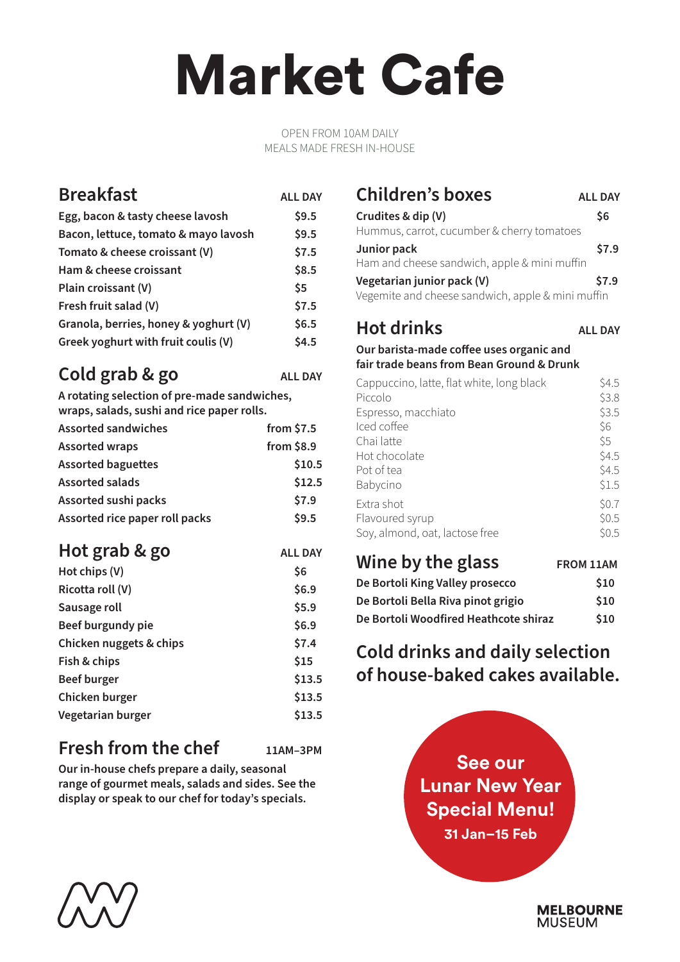## Market Cafe

#### OPEN FROM 10AM DAILY MEALS MADE FRESH IN-HOUSE

#### **Breakfast ALL DAY Egg, bacon & tasty cheese lavosh \$9.5 Bacon, lettuce, tomato & mayo lavosh \$9.5 Tomato & cheese croissant (V) \$7.5 Ham & cheese croissant \$8.5 Plain croissant (V)** \$5 **Fresh fruit salad (V) \$7.5 Granola, berries, honey & yoghurt (V) \$6.5 Greek yoghurt with fruit coulis (V) \$4.5**

## **Cold grab & go ALL DAY**

**A rotating selection of pre-made sandwiches,**

**wraps, salads, sushi and rice paper rolls.**

| <b>Assorted sandwiches</b>     | from $$7.5$ |
|--------------------------------|-------------|
| <b>Assorted wraps</b>          | from $$8.9$ |
| <b>Assorted baguettes</b>      | \$10.5      |
| <b>Assorted salads</b>         | \$12.5      |
| Assorted sushi packs           | \$7.9       |
| Assorted rice paper roll packs | \$9.5       |

#### **Hot grab & go** ALL DAY **Hot chips (V) \$6**

| $1101$ chips $111$      | JV     |
|-------------------------|--------|
| Ricotta roll (V)        | \$6.9  |
| Sausage roll            | \$5.9  |
| Beef burgundy pie       | \$6.9  |
| Chicken nuggets & chips | \$7.4  |
| Fish & chips            | \$15   |
| <b>Beef burger</b>      | \$13.5 |
| Chicken burger          | \$13.5 |
| Vegetarian burger       | \$13.5 |
|                         |        |

### **Fresh from the chef 11AM–3PM**

**Our in-house chefs prepare a daily, seasonal range of gourmet meals, salads and sides. See the display or speak to our chef for today's specials.**

#### **Children's boxes ALL DAY Crudites & dip (V) \$6** Hummus, carrot, cucumber & cherry tomatoes **Junior pack \$7.9**

Ham and cheese sandwich, apple & mini muffin **Vegetarian junior pack (V) \$7.9**

Vegemite and cheese sandwich, apple & mini muffin

## **Hot drinks ALL DAY**

**Our barista-made coffee uses organic and fair trade beans from Bean Ground & Drunk**

| Cappuccino, latte, flat white, long black<br>Piccolo | S4.5<br>\$3.8 |
|------------------------------------------------------|---------------|
| Espresso, macchiato                                  | \$3.5         |
| Iced coffee                                          | \$6           |
| Chai latte                                           | \$5           |
| Hot chocolate                                        | \$4.5         |
| Pot of tea                                           | \$4.5         |
| Babycino                                             | \$1.5         |
| Extra shot                                           | \$0.7         |
| Flavoured syrup                                      | \$0.5         |
| Soy, almond, oat, lactose free                       | \$0.5         |

| Wine by the glass                     | <b>FROM 11AM</b> |
|---------------------------------------|------------------|
| De Bortoli King Valley prosecco       | \$10             |
| De Bortoli Bella Riva pinot grigio    | \$10             |
| De Bortoli Woodfired Heathcote shiraz | \$10             |

## **Cold drinks and daily selection of house-baked cakes available.**





**MELBOURNE MUSEUM**